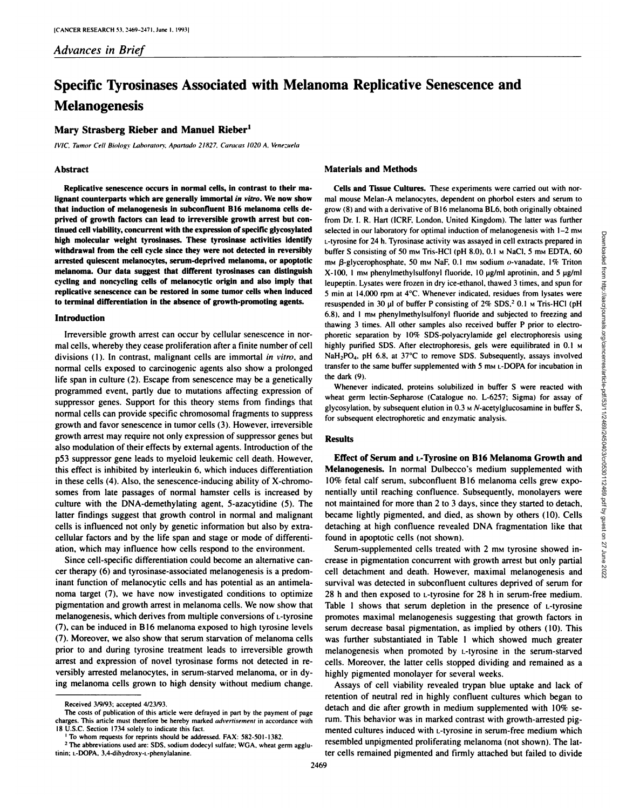# **Specific Tyrosinases Associated with Melanoma Replicative Senescence and Melanogenesis**

## **Mary Strasberg Rieber and Manuel Rieber1**

IVIC, Tumor Cell Biology Laboratory. Apartado 21827, Caracas 1020 A. Venezuela

#### **Abstract**

**Replicative senescence occurs in normal cells, in contrast to their ma lignant counterparts which are generally immortal in vitro. We now show that induction ofmelanogenesis in suhconfluent B16 melanoma cells de prived of growth factors can lead to irreversible growth arrest hut con tinued cell viahility, concurrent with the expression ofspecific glycosylated high molecular weight tyrosinases. These tyrosinase activities identify withdrawal from the cell cycle since they were not detected in reversibly arrested quiescent melanocytes. serum-deprived melanoma, or apoptotic melanoma. Our data suggest that different tyrosinases can distinguish cycling and noncycling cells of melanocytic origin and also imply that replicative senescence can be restored in some tumor cells when induced to terminal differentiation in the absence of growth-promoting agents.**

## **Introduction**

Irreversible growth arrest can occur by cellular senescence in nor mal cells, whereby they cease proliferation after a finite number of cell divisions (I). In contrast, malignant cells are immortal in vitro, and normal cells exposed to carcinogenic agents also show a prolonged life span in culture (2). Escape from senescence may be a genetically programmed event, partly due to mutations affecting expression of suppressor genes. Support for this theory stems from findings that normal cells can provide specific chromosomal fragments to suppress growth and favor senescence in tumor cells (3). However, irreversible growth arrest may require not only expression of suppressor genes but also modulation of their effects by external agents. Introduction of the p53 suppressor gene leads to myeloid leukemic cell death. However, this effect is inhibited by interleukin 6. which induces differentiation in these cells (4). Also, the senescence-inducing ability of X-chromo somes from late passages of normal hamster cells is increased by culture with the DNA-demethylating agent. 5-azacytidine (5). The latter findings suggest that growth control in normal and malignant cells is influenced not only by genetic information but also by extra cellular factors and by the life span and stage or mode of differenti ation, which may influence how cells respond to the environment.

Since cell-specific differentiation could become an alternative can cer therapy (6) and tyrosinase-associated melanogenesis is a predom inant function of melanocytic cells and has potential as an antimela noma target (7). we have now investigated conditions to optimize pigmentation and growth arrest in melanoma cells. We now show that melanogenesis. which derives from multiple conversions of L-tyrosine (7), can be induced in B16 melanoma exposed to high tyrosine levels (7). Moreover, we also show that serum starvation of melanoma cells prior to and during tyrosine treatment leads to irreversible growth arrest and expression of novel tyrosinase forms not detected in re versibly arrested melanocytes. in serum-starved melanoma, or in dy ing melanoma cells grown to high density without medium change.

## **Materials and Methods**

**Cells and Tissue Cultures. These experiments were carried out with nor** mal mouse Melan-A melanocytes, dependent on phorbol esters and serum to grow (8) and with a derivative of BI6 melanoma BL6. both originally obtained from Dr. I. R. Hart (ICRF, London, United Kingdom). The latter was further selected in our laboratory for optimal induction of melanogenesis with 1–2 m.<br>
1-tyrstine for 24 h. Tyrosinas activity was assayed in cell extracts prepared in<br>
buffer S consisting of 50 m MEC () IH solon. No NaCl, 5 ms E L-tyrosine for 24 h. Tyrosinase activity was assayed in cellextracts prepared in buffer S consisting of 50 mm Tris-HCl (pH 8.0),  $0.1$  m NaCl, 5 mm EDTA, 60  $mM$   $\beta$ -glycerophosphate, 50 mm NaF, 0.1 mm sodium o-vanadate, 1% Triton  $X-100$ , 1 mm phenylmethylsulfonyl fluoride. 10 ug/ml aprotinin, and 5 ug/ml leupeptin. Lysates were frozen in dry ice-ethanol, thawed 3 times, and spun for 5 min at 14.000 rpm at 4°C.Whenever indicated, residues from lysates were resuspended in 30 µl of buffer P consisting of 2% SDS,<sup>2</sup> 0.1 M Tris-HCl (pH 6.8), and 1 mm phenylmethylsulfonyl fluoride and subjected to freezing and thawing 3 times. All other samples also received buffer P prior to electrophoretic separation by 10% SDS-polyacrylamide gel electrophoresis using highly purified SDS. After electrophoresis, gels were equilibrated in 0.1 M NaH<sub>2</sub>PO<sub>4</sub>, pH 6.8, at 37°C to remove SDS. Subsequently, assays involved transfer to the same buffer supplemented with  $5 \text{ mm}$   $\text{L-DOPA}$  for incubation in the dark (9).

Whenever indicated, proteins solubilized in buffer S were reacted with wheat germ lectin-Sepharose (Catalogue no. L-6257; Sigma) for assay of glycosylation, by subsequent elution in  $0.3 \text{ m}$  N-acetylglucosamine in buffer S, for subsequent electrophoretic and enzymatic analysis.

## **Results**

**Effect of Serum andi -1 \ rosine on B16 Melanoma Growth and Melanogenesis. In normal Dulbecco's medium supplemented with** 10% fetal calf serum, subconfluent B16 melanoma cells grew expo nentially until reaching confluence. Subsequently, monolayers were not maintained for more than 2 to 3 days, since they started to detach, became lightly pigmented. and died, as shown by others (10). Cells detaching at high confluence revealed DNA fragmentation like that found in apoptotic cells (not shown).

Serum-supplemented cells treated with 2 mm tyrosine showed increase in pigmentation concurrent with growth arrest but only partial cell detachment and death. However, maximal melanogenesis and survival was detected in subconfluent cultures deprived of serum for 28 h and then exposed to *L*-tyrosine for 28 h in serum-free medium. Table 1 shows that serum depletion in the presence of  $L$ -tyrosine promotes maximal melanogenesis suggesting that growth factors in serum decrease basal pigmentation, as implied by others (10). This was further substantiated in Table I which showed much greater melanogenesis when promoted by i.-tyrosine in the serum-starved cells. Moreover, the latter cells stopped dividing and remained as a highly pigmented monolayer for several weeks.

Assays of cell viability revealed trypan blue uptake and lack of retention of neutral red in highly confluent cultures which began to detach and die after growth in medium supplemented with 10% se rum. This behavior was in marked contrast with growth-arrested pig mented cultures induced with L-tyrosine in serum-free medium which resembled unpigmented proliferating melanoma (not shown). The lat ter cells remained pigmented and firmly attached but failed to divide

Received 3/9/93: accepted 4/23/93.

The costs of publication of this article were defrayed in part by the payment of page charges. This article must therefore be hereby marked *advertisement* in accordance with 18 U.S.C. Section 1734 solely to indicate this fact.

<sup>&</sup>lt;sup>1</sup> To whom requests for reprints should be addressed. FAX: 582-501-1382.

<sup>&</sup>lt;sup>2</sup> The abbreviations used are: SDS, sodium dodecyl sulfate; WGA, wheat germ agglutinin; L-DOPA, 3,4-dihydroxy-L-phenylalanine.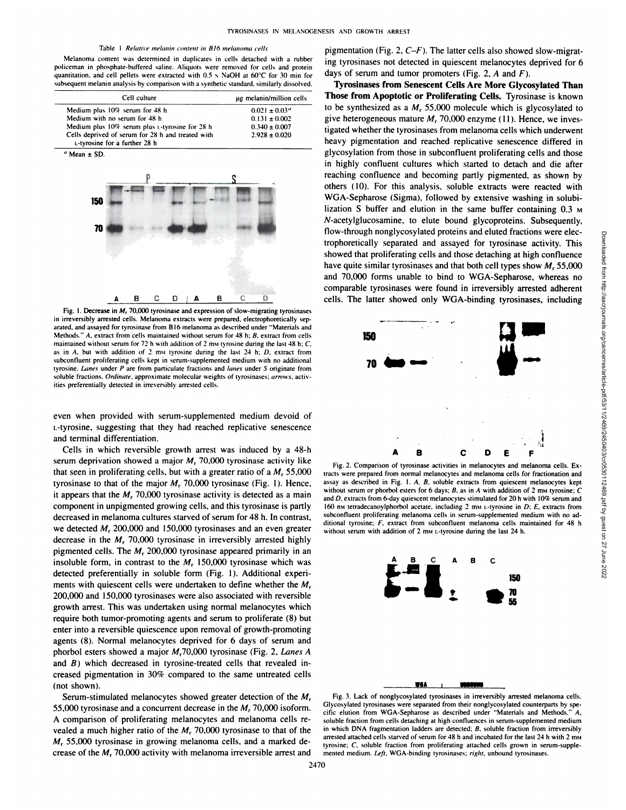#### Table 1 Relative melanin content in B16 melanoma cells

Melanoma content was determined in duplicates in cells detached with a ruhber **policeman in phosphate-buttered saline. Aliquots were removed for cells and protein** quantitation, and cell pellets were extracted with  $0.5 \times$  NaOH at  $60^{\circ}$ C for 30 min for subsequent melanin analysis by comparison with a synthetic standard, similarly dissolved.

| Cell culture                                                                       | ug melanin/million cells |
|------------------------------------------------------------------------------------|--------------------------|
| Medium plus 10% serum for 48 h                                                     | $0.021 \pm 0.03$ "       |
| Medium with no serum for 48 h                                                      | $0.131 \pm 0.002$        |
| Medium plus 10% serum plus t-tyrosine for 28 h                                     | $0.340 \pm 0.007$        |
| Cells deprived of serum for 28 h and treated with<br>L-tyrosine for a further 28 h | $2.928 \pm 0.020$        |



Fig. 1. Decrease in  $M_r$  70,000 tyrosinase and expression of slow-migrating tyrosinases in irreversibly arrested cells. Melanoma extracts were prepared, electrophoretically sep arated, and assayed for tyrosinase from B16 melanoma as described under "Materials and Methods." A, extract from cells maintained withoul serum for 48 h: B. extract from cells maintained without serum for 72 h with addition of 2 mm tyrosine during the last 48 h;  $C$ , as in A, but with addition of 2 mm tyrosine during the last 24 h;  $D$ , extract from subcontluent proliferating cells kept in serum-supplemented medium with no additional tyrosine. Lanes under  $P$  are from particulate fractions and lanes under  $S$  originate from soluble fractions. Ordinate, approximate molecular weights of tyrosinases; arrows, activities preferentially detected in irreversibly arrested cells.

even when provided with serum-supplemented medium devoid of i.-tyrosine. suggesting that they had reached replicative senescence and terminal differentiation.

Cells in which reversible growth arrest was induced by a 48-h serum deprivation showed a major  $M_r$ , 70,000 tyrosinase activity like that seen in proliferating cells, but with a greater ratio of a  $M_r$  55,000 tyrosinase to that of the major  $M_r$  70,000 tyrosinase (Fig. 1). Hence, it appears that the  $M_r$ , 70,000 tyrosinase activity is detected as a main component in unpigmented growing cells, and this tyrosinase is partly decreased in melanoma cultures starved of serum for 48 h. In contrast, we detected  $M_r$ , 200,000 and 150,000 tyrosinases and an even greater decrease in the  $M_r$  70,000 tyrosinase in irreversibly arrested highly pigmented cells. The  $M<sub>r</sub>$  200,000 tyrosinase appeared primarily in an insoluble form, in contrast to the  $M<sub>r</sub>$  150,000 tyrosinase which was detected preferentially in soluble form (Fig. 1). Additional experi ments with quiescent cells were undertaken to define whether the  $M<sub>r</sub>$ 200,000 and 150.000 tyrosinases were also associated with reversible growth arrest. This was undertaken using normal melanocytes which require both tumor-promoting agents and serum to proliferate (8) but enter into a reversible quiescence upon removal of growth-promoting agents (8). Normal melanocytes deprived for 6 days of serum and phorbol esters showed a major  $M_r$ 70,000 tyrosinase (Fig. 2, Lanes A and  $B$ ) which decreased in tyrosine-treated cells that revealed increased pigmentation in 30% compared to the same untreated cells (not shown).

Serum-stimulated melanocytes showed greater detection of the  $M_r$ 55,000 tyrosinase and a concurrent decrease in the  $M_r$ , 70,000 isoform. A comparison of proliferating melanocytes and melanoma cells re vealed a much higher ratio of the  $M_r$ , 70,000 tyrosinase to that of the *M, 55.000 tyrosinase in growing melanoma cells, and a marked de* crease of the  $M_r$ 70.000 activity with melanoma irreversible arrest and

pigmentation (Fig. 2,  $C-F$ ). The latter cells also showed slow-migrating tyrosinases not detected in quiescent melanocytes deprived for 6 days of serum and tumor promoters (Fig. 2,  $A$  and  $F$ ).

**Tyrosinases from Senescent Cells Are More Glycosylated Than Those from Apoptotic or Proliferating Cells. Tyrosinase is known** to be synthesized as a  $M_r$  55,000 molecule which is glycosylated to give heterogeneous mature  $M_r$  70,000 enzyme (11). Hence, we investigated whether the tyrosinases from melanoma cells which underwent heavy pigmentation and reached replicative senescence differed in glycosylation from those in subconfluent proliferating cells and those in highly confluent cultures which started to detach and die after reaching confluence and becoming partly pigmented. as shown by others (10). For this analysis, soluble extracts were reacted with WGA-Sepharose (Sigma), followed by extensive washing in solubilization S buffer and elution in the same buffer containing 0.3 M /V-acetylglucosamine. to elute bound glycoproteins. Subsequently, trophoretically separated and assayed for tyrosinase activity. This showed that proliferating cells and those detaching at high confluence have quite similar tyrosinases and that both cell types show  $M_r$ , 55,000 and 70,000 forms unable to bind to WGA-Sepharose, whereas no comparable tyrosinases were found in irreversibly arrested adherent cells. The latter showed only WGA-binding tyrosinases, including



Fig. 2. Comparison of tyrosinase activities in melanocytes and melanoma cells. Ex tracts were prepared from normal melanocytes and melanoma cells for fractionation and assay as described in Fig. I.A. B. soluble extracts from quiescent melanocytes kept without serum or phorbol esters for 6 days;  $B$ , as in  $A$  with addition of 2 mm tyrosine;  $C$ and D. extracts from 6-day quiescent melanocytes stimulated for 20 h with 10% serum and 160 nm tetradecanoylphorbol acetate, including 2 mm L-tyrosine in  $D$ ;  $E$ , extracts from subconfluent proliferating melanoma cells in serum-supplemented medium with no additional tyrosine; F. extract from subconfluent melanoma cells maintained for 48 h without serum with addition of 2 mm L-tyrosine during the last 24 h.



Fig. 3. Lack of nonglycosylated tyrosinases in irreversibly arrested melanoma cells. Glycosylated tyrosinases were separated from their nonglycosylated counterparts by spe cific elution from WGA-Sepharose as described under "Materials and Methods. soluble fraction from cells detaching at high confluences in serum-supplemented medium in which DNA fragmentation ladders are detected; B. soluble fraction from irreversibly arrested attached cells starved of serum for 48 h and incubated for the last 24 h with 2 mm tyrosine; C, soluble fraction from proliferating attached cells grown in serum-supplemented medium. Left. WGA-binding tyrosinases; right, unbound tyrosinases.